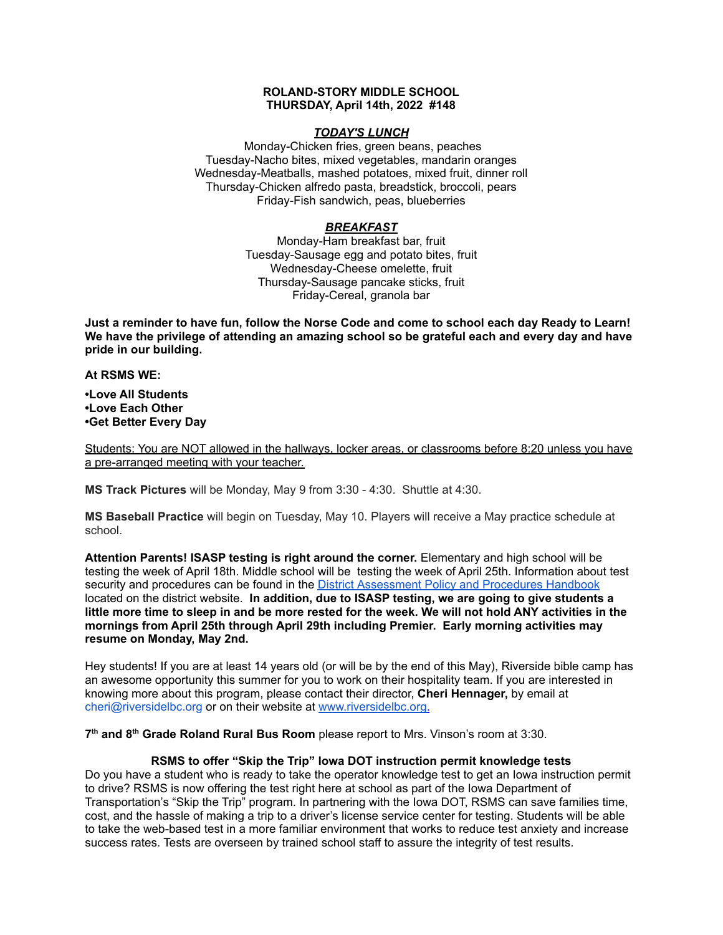### **ROLAND-STORY MIDDLE SCHOOL THURSDAY, April 14th, 2022 #148**

## *TODAY'S LUNCH*

Monday-Chicken fries, green beans, peaches Tuesday-Nacho bites, mixed vegetables, mandarin oranges Wednesday-Meatballs, mashed potatoes, mixed fruit, dinner roll Thursday-Chicken alfredo pasta, breadstick, broccoli, pears Friday-Fish sandwich, peas, blueberries

# *BREAKFAST*

Monday-Ham breakfast bar, fruit Tuesday-Sausage egg and potato bites, fruit Wednesday-Cheese omelette, fruit Thursday-Sausage pancake sticks, fruit Friday-Cereal, granola bar

Just a reminder to have fun, follow the Norse Code and come to school each day Ready to Learn! **We have the privilege of attending an amazing school so be grateful each and every day and have pride in our building.**

**At RSMS WE:**

**•Love All Students •Love Each Other •Get Better Every Day**

Students: You are NOT allowed in the hallways, locker areas, or classrooms before 8:20 unless you have a pre-arranged meeting with your teacher.

**MS Track Pictures** will be Monday, May 9 from 3:30 - 4:30. Shuttle at 4:30.

**MS Baseball Practice** will begin on Tuesday, May 10. Players will receive a May practice schedule at school.

**Attention Parents! ISASP testing is right around the corner.** Elementary and high school will be testing the week of April 18th. Middle school will be testing the week of April 25th. Information about test security and procedures can be found in the **District [Assessment](https://rolandstory.school/media/Michelle%20Soderstrum/RSCSD_District_Assessment_Poli%20-%20Copy%203.pdf) Policy and Procedures Handbook** located on the district website. **In addition, due to ISASP testing, we are going to give students a** little more time to sleep in and be more rested for the week. We will not hold ANY activities in the **mornings from April 25th through April 29th including Premier. Early morning activities may resume on Monday, May 2nd.**

Hey students! If you are at least 14 years old (or will be by the end of this May), Riverside bible camp has an awesome opportunity this summer for you to work on their hospitality team. If you are interested in knowing more about this program, please contact their director, **Cheri Hennager,** by email at cheri@riversidelbc.org or on their website at [www.riversidelbc.org.](http://www.riversidelbc.org/)

**7 th and 8 th Grade Roland Rural Bus Room** please report to Mrs. Vinson's room at 3:30.

## **RSMS to offer "Skip the Trip" Iowa DOT instruction permit knowledge tests**

Do you have a student who is ready to take the operator knowledge test to get an Iowa instruction permit to drive? RSMS is now offering the test right here at school as part of the Iowa Department of Transportation's "Skip the Trip" program. In partnering with the Iowa DOT, RSMS can save families time, cost, and the hassle of making a trip to a driver's license service center for testing. Students will be able to take the web-based test in a more familiar environment that works to reduce test anxiety and increase success rates. Tests are overseen by trained school staff to assure the integrity of test results.